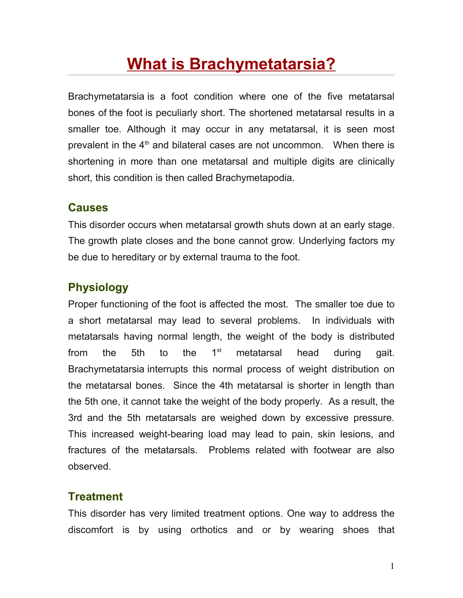## **[What is Brachymetatarsia?](http://footcare.ygoy.com/2008/05/17/what-is-brachymetatarsia/)**

Brachymetatarsia is a foot condition where one of the five metatarsal bones of the foot is peculiarly short. The shortened metatarsal results in a smaller toe. Although it may occur in any metatarsal, it is seen most prevalent in the  $4<sup>th</sup>$  and bilateral cases are not uncommon. When there is shortening in more than one metatarsal and multiple digits are clinically short, this condition is then called Brachymetapodia.

## **Causes**

This disorder occurs when metatarsal growth shuts down at an early stage. The growth plate closes and the bone cannot grow. Underlying factors my be due to hereditary or by external trauma to the foot.

## **Physiology**

Proper functioning of the foot is affected the most. The smaller toe due to a short metatarsal may lead to several problems. In individuals with metatarsals having normal length, the weight of the body is distributed from the 5th to the  $1<sup>st</sup>$  metatarsal head during gait. Brachymetatarsia interrupts this normal process of weight distribution on the metatarsal bones. Since the 4th metatarsal is shorter in length than the 5th one, it cannot take the weight of the body properly. As a result, the 3rd and the 5th metatarsals are weighed down by excessive pressure. This increased weight-bearing load may lead to pain, skin lesions, and fractures of the metatarsals. Problems related with footwear are also observed.

## **Treatment**

This disorder has very limited treatment options. One way to address the discomfort is by using orthotics and or by wearing shoes that